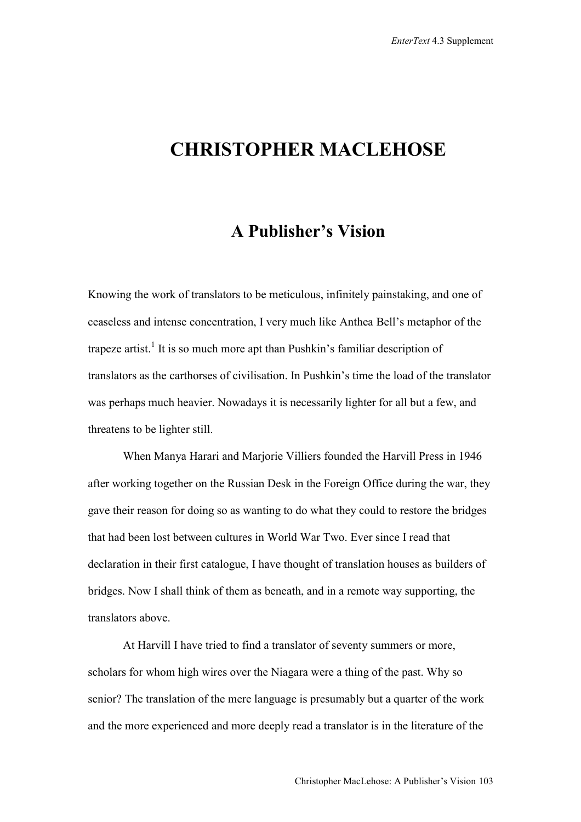## **CHRISTOPHER MACLEHOSE**

## **A Publisher's Vision**

Knowing the work of translators to be meticulous, infinitely painstaking, and one of ceaseless and intense concentration, I very much like Anthea Bell's metaphor of the trapeze artist.<sup>1</sup> It is so much more apt than Pushkin's familiar description of translators as the carthorses of civilisation. In Pushkin's time the load of the translator was perhaps much heavier. Nowadays it is necessarily lighter for all but a few, and threatens to be lighter still.

When Manya Harari and Marjorie Villiers founded the Harvill Press in 1946 after working together on the Russian Desk in the Foreign Office during the war, they gave their reason for doing so as wanting to do what they could to restore the bridges that had been lost between cultures in World War Two. Ever since I read that declaration in their first catalogue, I have thought of translation houses as builders of bridges. Now I shall think of them as beneath, and in a remote way supporting, the translators above.

At Harvill I have tried to find a translator of seventy summers or more, scholars for whom high wires over the Niagara were a thing of the past. Why so senior? The translation of the mere language is presumably but a quarter of the work and the more experienced and more deeply read a translator is in the literature of the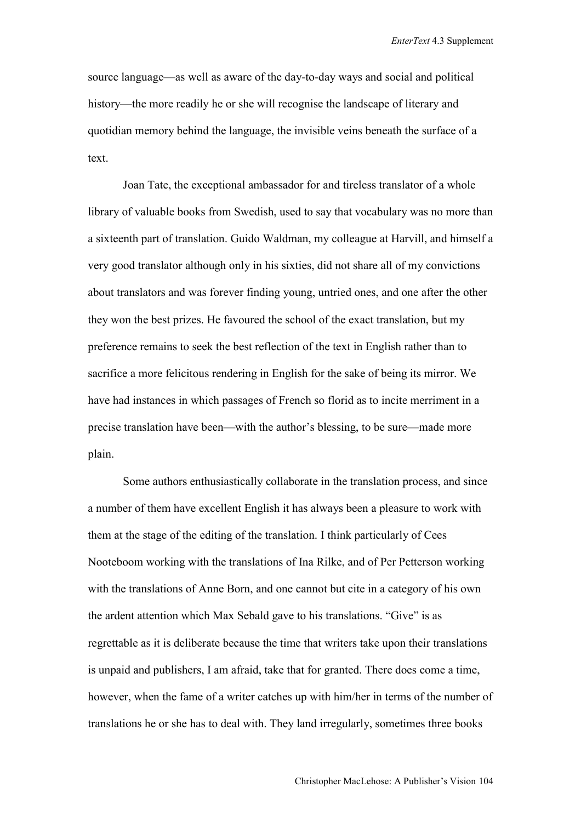source language—as well as aware of the day-to-day ways and social and political history—the more readily he or she will recognise the landscape of literary and quotidian memory behind the language, the invisible veins beneath the surface of a text.

Joan Tate, the exceptional ambassador for and tireless translator of a whole library of valuable books from Swedish, used to say that vocabulary was no more than a sixteenth part of translation. Guido Waldman, my colleague at Harvill, and himself a very good translator although only in his sixties, did not share all of my convictions about translators and was forever finding young, untried ones, and one after the other they won the best prizes. He favoured the school of the exact translation, but my preference remains to seek the best reflection of the text in English rather than to sacrifice a more felicitous rendering in English for the sake of being its mirror. We have had instances in which passages of French so florid as to incite merriment in a precise translation have been—with the author's blessing, to be sure—made more plain.

Some authors enthusiastically collaborate in the translation process, and since a number of them have excellent English it has always been a pleasure to work with them at the stage of the editing of the translation. I think particularly of Cees Nooteboom working with the translations of Ina Rilke, and of Per Petterson working with the translations of Anne Born, and one cannot but cite in a category of his own the ardent attention which Max Sebald gave to his translations. "Give" is as regrettable as it is deliberate because the time that writers take upon their translations is unpaid and publishers, I am afraid, take that for granted. There does come a time, however, when the fame of a writer catches up with him/her in terms of the number of translations he or she has to deal with. They land irregularly, sometimes three books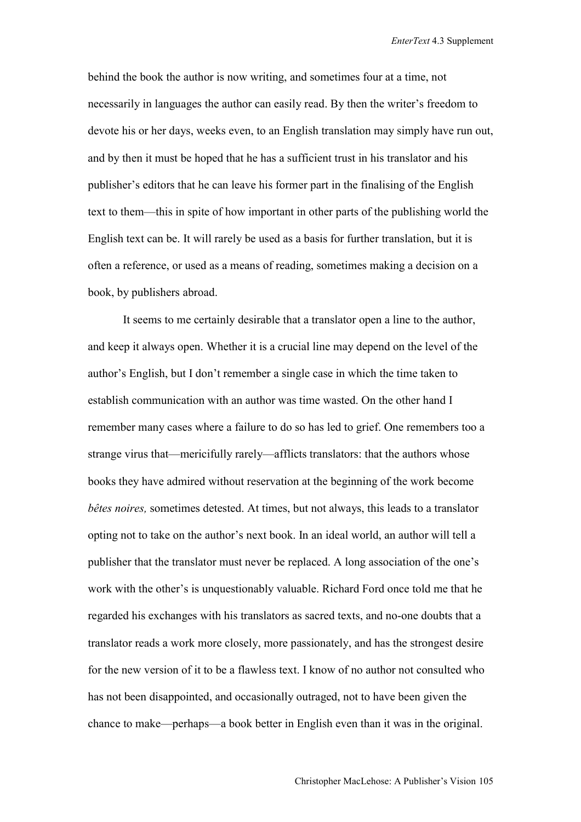behind the book the author is now writing, and sometimes four at a time, not necessarily in languages the author can easily read. By then the writer's freedom to devote his or her days, weeks even, to an English translation may simply have run out, and by then it must be hoped that he has a sufficient trust in his translator and his publisher's editors that he can leave his former part in the finalising of the English text to them—this in spite of how important in other parts of the publishing world the English text can be. It will rarely be used as a basis for further translation, but it is often a reference, or used as a means of reading, sometimes making a decision on a book, by publishers abroad.

It seems to me certainly desirable that a translator open a line to the author, and keep it always open. Whether it is a crucial line may depend on the level of the author's English, but I don't remember a single case in which the time taken to establish communication with an author was time wasted. On the other hand I remember many cases where a failure to do so has led to grief. One remembers too a strange virus that—mericifully rarely—afflicts translators: that the authors whose books they have admired without reservation at the beginning of the work become *bêtes noires,* sometimes detested. At times, but not always, this leads to a translator opting not to take on the author's next book. In an ideal world, an author will tell a publisher that the translator must never be replaced. A long association of the one's work with the other's is unquestionably valuable. Richard Ford once told me that he regarded his exchanges with his translators as sacred texts, and no-one doubts that a translator reads a work more closely, more passionately, and has the strongest desire for the new version of it to be a flawless text. I know of no author not consulted who has not been disappointed, and occasionally outraged, not to have been given the chance to make—perhaps—a book better in English even than it was in the original.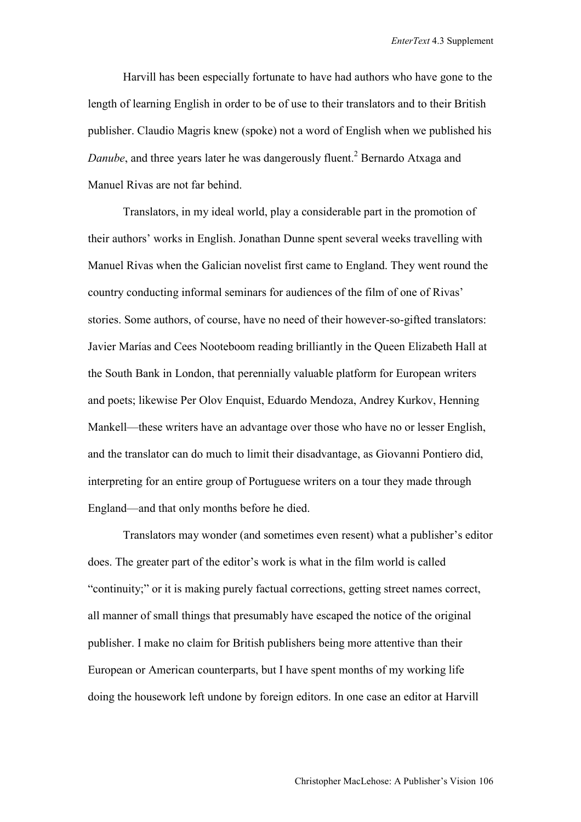Harvill has been especially fortunate to have had authors who have gone to the length of learning English in order to be of use to their translators and to their British publisher. Claudio Magris knew (spoke) not a word of English when we published his Danube, and three years later he was dangerously fluent.<sup>2</sup> Bernardo Atxaga and Manuel Rivas are not far behind.

Translators, in my ideal world, play a considerable part in the promotion of their authors' works in English. Jonathan Dunne spent several weeks travelling with Manuel Rivas when the Galician novelist first came to England. They went round the country conducting informal seminars for audiences of the film of one of Rivas' stories. Some authors, of course, have no need of their however-so-gifted translators: Javier Marías and Cees Nooteboom reading brilliantly in the Queen Elizabeth Hall at the South Bank in London, that perennially valuable platform for European writers and poets; likewise Per Olov Enquist, Eduardo Mendoza, Andrey Kurkov, Henning Mankell—these writers have an advantage over those who have no or lesser English, and the translator can do much to limit their disadvantage, as Giovanni Pontiero did, interpreting for an entire group of Portuguese writers on a tour they made through England—and that only months before he died.

Translators may wonder (and sometimes even resent) what a publisher's editor does. The greater part of the editor's work is what in the film world is called "continuity;" or it is making purely factual corrections, getting street names correct, all manner of small things that presumably have escaped the notice of the original publisher. I make no claim for British publishers being more attentive than their European or American counterparts, but I have spent months of my working life doing the housework left undone by foreign editors. In one case an editor at Harvill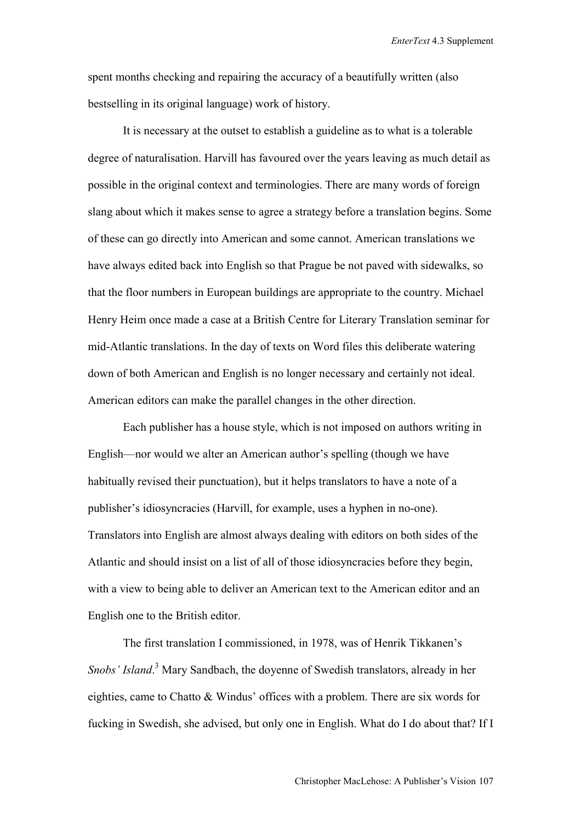spent months checking and repairing the accuracy of a beautifully written (also bestselling in its original language) work of history.

It is necessary at the outset to establish a guideline as to what is a tolerable degree of naturalisation. Harvill has favoured over the years leaving as much detail as possible in the original context and terminologies. There are many words of foreign slang about which it makes sense to agree a strategy before a translation begins. Some of these can go directly into American and some cannot. American translations we have always edited back into English so that Prague be not paved with sidewalks, so that the floor numbers in European buildings are appropriate to the country. Michael Henry Heim once made a case at a British Centre for Literary Translation seminar for mid-Atlantic translations. In the day of texts on Word files this deliberate watering down of both American and English is no longer necessary and certainly not ideal. American editors can make the parallel changes in the other direction.

Each publisher has a house style, which is not imposed on authors writing in English—nor would we alter an American author's spelling (though we have habitually revised their punctuation), but it helps translators to have a note of a publisher's idiosyncracies (Harvill, for example, uses a hyphen in no-one). Translators into English are almost always dealing with editors on both sides of the Atlantic and should insist on a list of all of those idiosyncracies before they begin, with a view to being able to deliver an American text to the American editor and an English one to the British editor.

The first translation I commissioned, in 1978, was of Henrik Tikkanen's *Snobs' Island*. 3 Mary Sandbach, the doyenne of Swedish translators, already in her eighties, came to Chatto & Windus' offices with a problem. There are six words for fucking in Swedish, she advised, but only one in English. What do I do about that? If I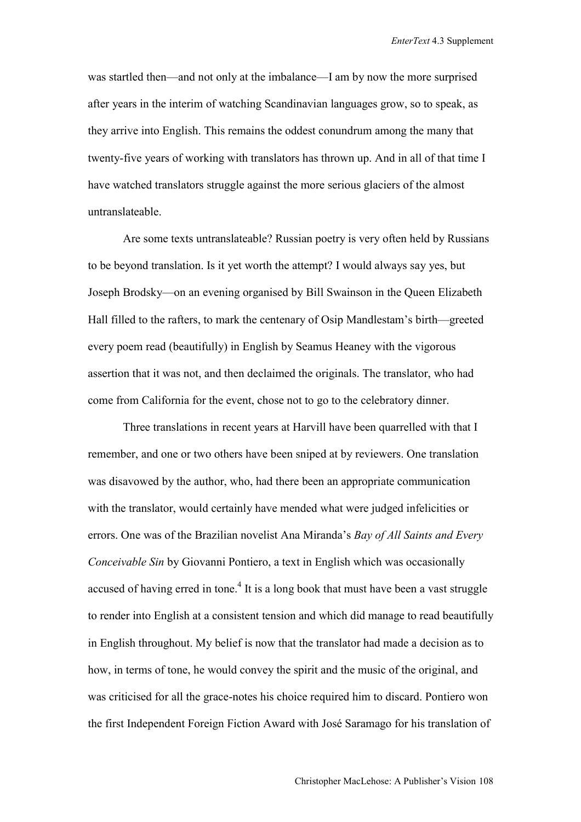was startled then—and not only at the imbalance—I am by now the more surprised after years in the interim of watching Scandinavian languages grow, so to speak, as they arrive into English. This remains the oddest conundrum among the many that twenty-five years of working with translators has thrown up. And in all of that time I have watched translators struggle against the more serious glaciers of the almost untranslateable.

Are some texts untranslateable? Russian poetry is very often held by Russians to be beyond translation. Is it yet worth the attempt? I would always say yes, but Joseph Brodsky—on an evening organised by Bill Swainson in the Queen Elizabeth Hall filled to the rafters, to mark the centenary of Osip Mandlestam's birth—greeted every poem read (beautifully) in English by Seamus Heaney with the vigorous assertion that it was not, and then declaimed the originals. The translator, who had come from California for the event, chose not to go to the celebratory dinner.

Three translations in recent years at Harvill have been quarrelled with that I remember, and one or two others have been sniped at by reviewers. One translation was disavowed by the author, who, had there been an appropriate communication with the translator, would certainly have mended what were judged infelicities or errors. One was of the Brazilian novelist Ana Miranda's *Bay of All Saints and Every Conceivable Sin* by Giovanni Pontiero, a text in English which was occasionally accused of having erred in tone.<sup>4</sup> It is a long book that must have been a vast struggle to render into English at a consistent tension and which did manage to read beautifully in English throughout. My belief is now that the translator had made a decision as to how, in terms of tone, he would convey the spirit and the music of the original, and was criticised for all the grace-notes his choice required him to discard. Pontiero won the first Independent Foreign Fiction Award with José Saramago for his translation of

Christopher MacLehose: A Publisher's Vision 108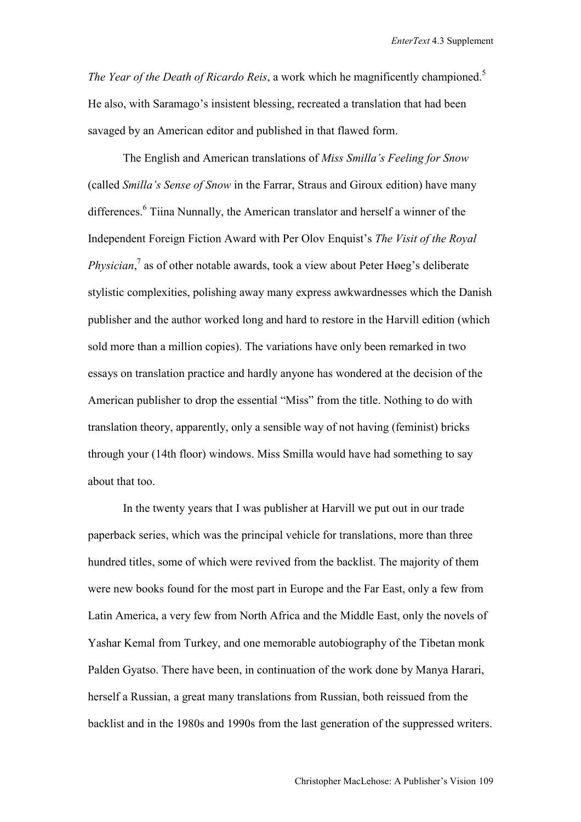*The Year of the Death of Ricardo Reis, a work which he magnificently championed.*<sup>5</sup> He also, with Saramago's insistent blessing, recreated a translation that had been savaged by an American editor and published in that flawed form.

The English and American translations of *Miss Smilla's Feeling for Snow* (called *Smilla's Sense of Snow* in the Farrar, Straus and Giroux edition) have many differences.<sup>6</sup> Tiina Nunnally, the American translator and herself a winner of the Independent Foreign Fiction Award with Per Olov Enquist's *The Visit of the Royal Physician*, 7 as of other notable awards, took a view about Peter Høeg's deliberate stylistic complexities, polishing away many express awkwardnesses which the Danish publisher and the author worked long and hard to restore in the Harvill edition (which sold more than a million copies). The variations have only been remarked in two essays on translation practice and hardly anyone has wondered at the decision of the American publisher to drop the essential "Miss" from the title. Nothing to do with translation theory, apparently, only a sensible way of not having (feminist) bricks through your (14th floor) windows. Miss Smilla would have had something to say about that too.

In the twenty years that I was publisher at Harvill we put out in our trade paperback series, which was the principal vehicle for translations, more than three hundred titles, some of which were revived from the backlist. The majority of them were new books found for the most part in Europe and the Far East, only a few from Latin America, a very few from North Africa and the Middle East, only the novels of Yashar Kemal from Turkey, and one memorable autobiography of the Tibetan monk Palden Gyatso. There have been, in continuation of the work done by Manya Harari, herself a Russian, a great many translations from Russian, both reissued from the backlist and in the 1980s and 1990s from the last generation of the suppressed writers.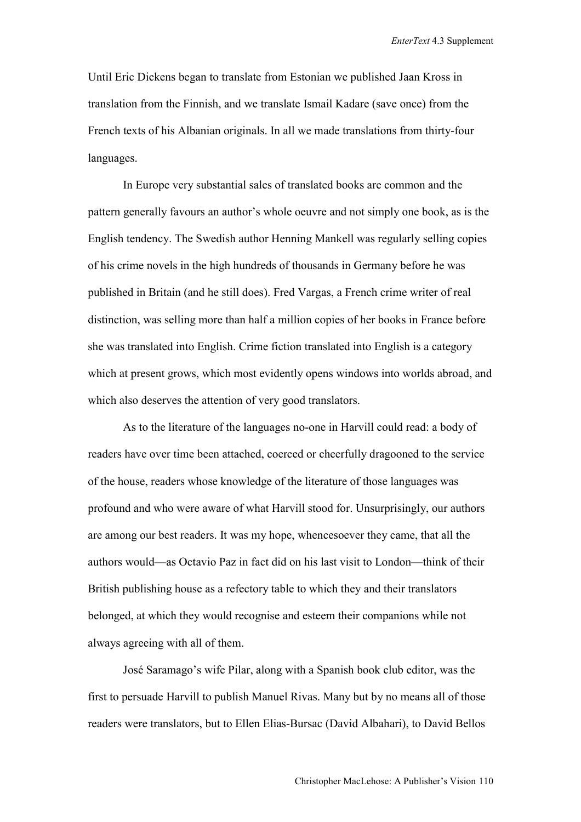Until Eric Dickens began to translate from Estonian we published Jaan Kross in translation from the Finnish, and we translate Ismail Kadare (save once) from the French texts of his Albanian originals. In all we made translations from thirty-four languages.

In Europe very substantial sales of translated books are common and the pattern generally favours an author's whole oeuvre and not simply one book, as is the English tendency. The Swedish author Henning Mankell was regularly selling copies of his crime novels in the high hundreds of thousands in Germany before he was published in Britain (and he still does). Fred Vargas, a French crime writer of real distinction, was selling more than half a million copies of her books in France before she was translated into English. Crime fiction translated into English is a category which at present grows, which most evidently opens windows into worlds abroad, and which also deserves the attention of very good translators.

As to the literature of the languages no-one in Harvill could read: a body of readers have over time been attached, coerced or cheerfully dragooned to the service of the house, readers whose knowledge of the literature of those languages was profound and who were aware of what Harvill stood for. Unsurprisingly, our authors are among our best readers. It was my hope, whencesoever they came, that all the authors would—as Octavio Paz in fact did on his last visit to London—think of their British publishing house as a refectory table to which they and their translators belonged, at which they would recognise and esteem their companions while not always agreeing with all of them.

José Saramago's wife Pilar, along with a Spanish book club editor, was the first to persuade Harvill to publish Manuel Rivas. Many but by no means all of those readers were translators, but to Ellen Elias-Bursac (David Albahari), to David Bellos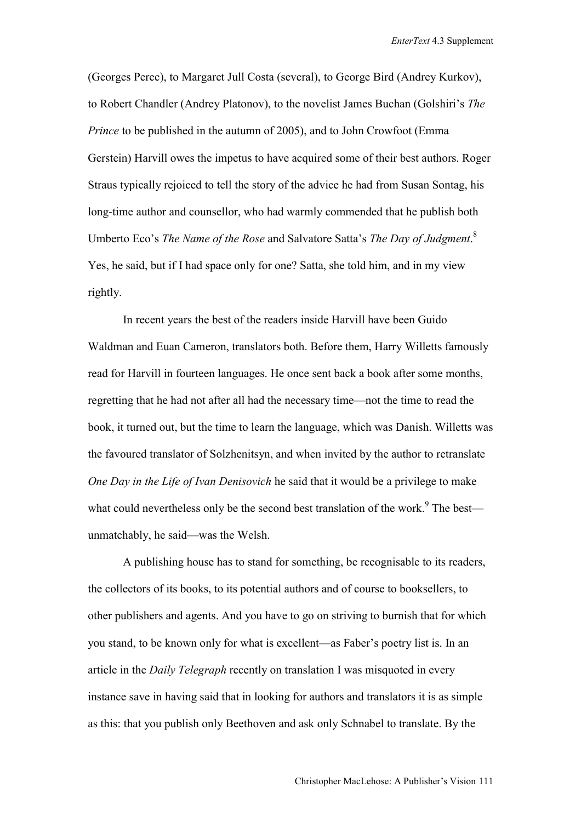(Georges Perec), to Margaret Jull Costa (several), to George Bird (Andrey Kurkov), to Robert Chandler (Andrey Platonov), to the novelist James Buchan (Golshiri's *The Prince* to be published in the autumn of 2005), and to John Crowfoot (Emma) Gerstein) Harvill owes the impetus to have acquired some of their best authors. Roger Straus typically rejoiced to tell the story of the advice he had from Susan Sontag, his long-time author and counsellor, who had warmly commended that he publish both Umberto Eco's *The Name of the Rose* and Salvatore Satta's *The Day of Judgment*. 8 Yes, he said, but if I had space only for one? Satta, she told him, and in my view rightly.

In recent years the best of the readers inside Harvill have been Guido Waldman and Euan Cameron, translators both. Before them, Harry Willetts famously read for Harvill in fourteen languages. He once sent back a book after some months, regretting that he had not after all had the necessary time—not the time to read the book, it turned out, but the time to learn the language, which was Danish. Willetts was the favoured translator of Solzhenitsyn, and when invited by the author to retranslate *One Day in the Life of Ivan Denisovich* he said that it would be a privilege to make what could nevertheless only be the second best translation of the work.<sup>9</sup> The best unmatchably, he said—was the Welsh.

A publishing house has to stand for something, be recognisable to its readers, the collectors of its books, to its potential authors and of course to booksellers, to other publishers and agents. And you have to go on striving to burnish that for which you stand, to be known only for what is excellent—as Faber's poetry list is. In an article in the *Daily Telegraph* recently on translation I was misquoted in every instance save in having said that in looking for authors and translators it is as simple as this: that you publish only Beethoven and ask only Schnabel to translate. By the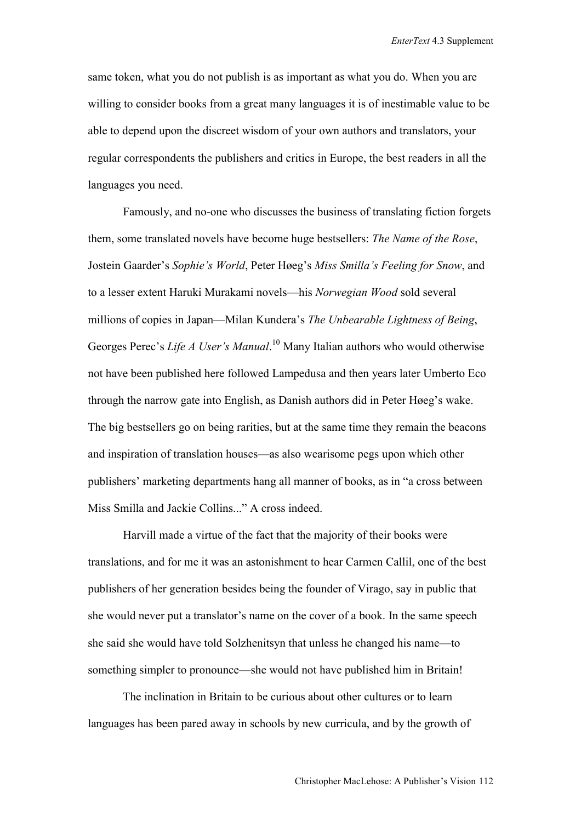same token, what you do not publish is as important as what you do. When you are willing to consider books from a great many languages it is of inestimable value to be able to depend upon the discreet wisdom of your own authors and translators, your regular correspondents the publishers and critics in Europe, the best readers in all the languages you need.

Famously, and no-one who discusses the business of translating fiction forgets them, some translated novels have become huge bestsellers: *The Name of the Rose*, Jostein Gaarder's *Sophie's World*, Peter Høeg's *Miss Smilla's Feeling for Snow*, and to a lesser extent Haruki Murakami novels—his *Norwegian Wood* sold several millions of copies in Japan—Milan Kundera's *The Unbearable Lightness of Being*, Georges Perec's *Life A User's Manual*. 10 Many Italian authors who would otherwise not have been published here followed Lampedusa and then years later Umberto Eco through the narrow gate into English, as Danish authors did in Peter Høeg's wake. The big bestsellers go on being rarities, but at the same time they remain the beacons and inspiration of translation houses—as also wearisome pegs upon which other publishers' marketing departments hang all manner of books, as in "a cross between Miss Smilla and Jackie Collins..." A cross indeed.

Harvill made a virtue of the fact that the majority of their books were translations, and for me it was an astonishment to hear Carmen Callil, one of the best publishers of her generation besides being the founder of Virago, say in public that she would never put a translator's name on the cover of a book. In the same speech she said she would have told Solzhenitsyn that unless he changed his name—to something simpler to pronounce—she would not have published him in Britain!

The inclination in Britain to be curious about other cultures or to learn languages has been pared away in schools by new curricula, and by the growth of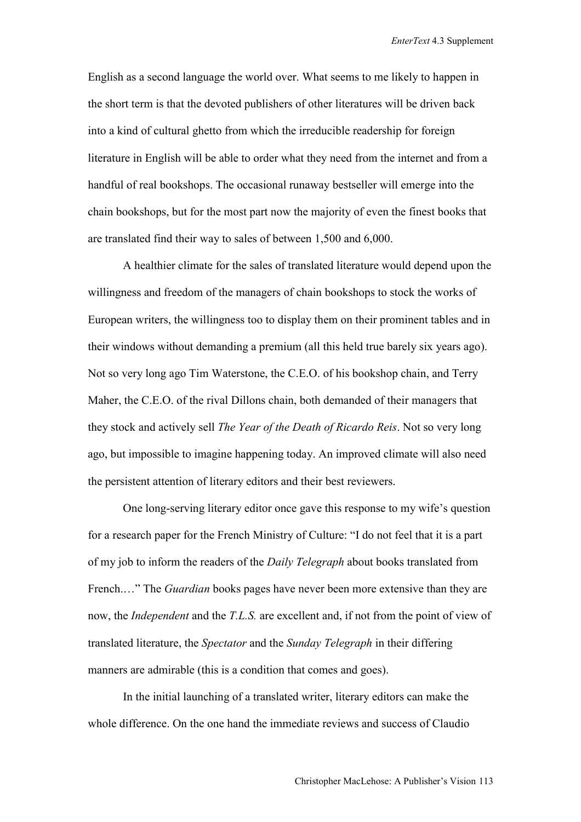English as a second language the world over. What seems to me likely to happen in the short term is that the devoted publishers of other literatures will be driven back into a kind of cultural ghetto from which the irreducible readership for foreign literature in English will be able to order what they need from the internet and from a handful of real bookshops. The occasional runaway bestseller will emerge into the chain bookshops, but for the most part now the majority of even the finest books that are translated find their way to sales of between 1,500 and 6,000.

A healthier climate for the sales of translated literature would depend upon the willingness and freedom of the managers of chain bookshops to stock the works of European writers, the willingness too to display them on their prominent tables and in their windows without demanding a premium (all this held true barely six years ago). Not so very long ago Tim Waterstone, the C.E.O. of his bookshop chain, and Terry Maher, the C.E.O. of the rival Dillons chain, both demanded of their managers that they stock and actively sell *The Year of the Death of Ricardo Reis*. Not so very long ago, but impossible to imagine happening today. An improved climate will also need the persistent attention of literary editors and their best reviewers.

One long-serving literary editor once gave this response to my wife's question for a research paper for the French Ministry of Culture: "I do not feel that it is a part of my job to inform the readers of the *Daily Telegraph* about books translated from French.…" The *Guardian* books pages have never been more extensive than they are now, the *Independent* and the *T.L.S.* are excellent and, if not from the point of view of translated literature, the *Spectator* and the *Sunday Telegraph* in their differing manners are admirable (this is a condition that comes and goes).

In the initial launching of a translated writer, literary editors can make the whole difference. On the one hand the immediate reviews and success of Claudio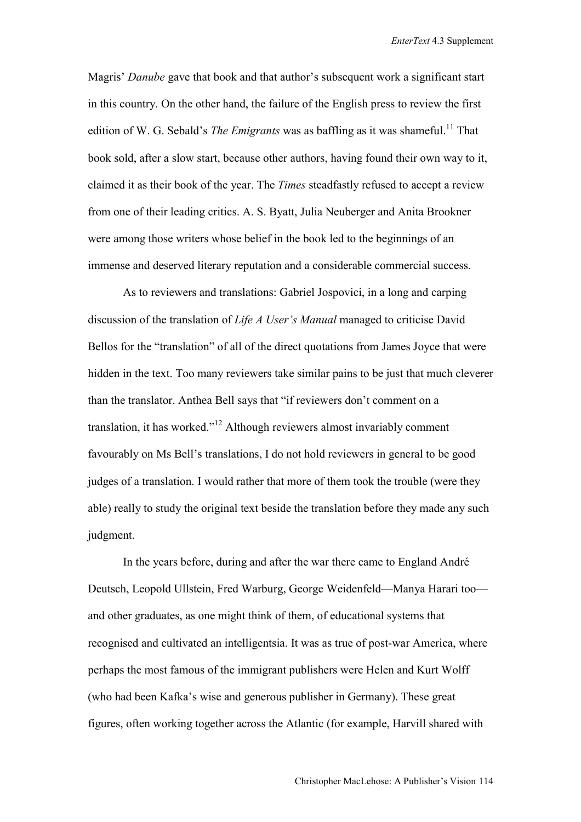Magris' *Danube* gave that book and that author's subsequent work a significant start in this country. On the other hand, the failure of the English press to review the first edition of W. G. Sebald's *The Emigrants* was as baffling as it was shameful.<sup>11</sup> That book sold, after a slow start, because other authors, having found their own way to it, claimed it as their book of the year. The *Times* steadfastly refused to accept a review from one of their leading critics. A. S. Byatt, Julia Neuberger and Anita Brookner were among those writers whose belief in the book led to the beginnings of an immense and deserved literary reputation and a considerable commercial success.

As to reviewers and translations: Gabriel Jospovici, in a long and carping discussion of the translation of *Life A User's Manual* managed to criticise David Bellos for the "translation" of all of the direct quotations from James Joyce that were hidden in the text. Too many reviewers take similar pains to be just that much cleverer than the translator. Anthea Bell says that "if reviewers don't comment on a translation, it has worked."12 Although reviewers almost invariably comment favourably on Ms Bell's translations, I do not hold reviewers in general to be good judges of a translation. I would rather that more of them took the trouble (were they able) really to study the original text beside the translation before they made any such judgment.

In the years before, during and after the war there came to England André Deutsch, Leopold Ullstein, Fred Warburg, George Weidenfeld—Manya Harari too and other graduates, as one might think of them, of educational systems that recognised and cultivated an intelligentsia. It was as true of post-war America, where perhaps the most famous of the immigrant publishers were Helen and Kurt Wolff (who had been Kafka's wise and generous publisher in Germany). These great figures, often working together across the Atlantic (for example, Harvill shared with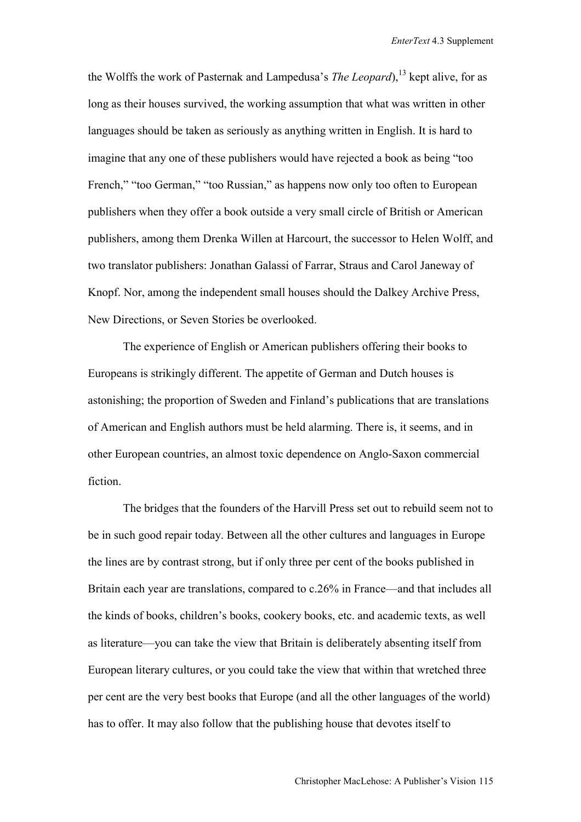the Wolffs the work of Pasternak and Lampedusa's *The Leopard*),<sup>13</sup> kept alive, for as long as their houses survived, the working assumption that what was written in other languages should be taken as seriously as anything written in English. It is hard to imagine that any one of these publishers would have rejected a book as being "too French," "too German," "too Russian," as happens now only too often to European publishers when they offer a book outside a very small circle of British or American publishers, among them Drenka Willen at Harcourt, the successor to Helen Wolff, and two translator publishers: Jonathan Galassi of Farrar, Straus and Carol Janeway of Knopf. Nor, among the independent small houses should the Dalkey Archive Press, New Directions, or Seven Stories be overlooked.

The experience of English or American publishers offering their books to Europeans is strikingly different. The appetite of German and Dutch houses is astonishing; the proportion of Sweden and Finland's publications that are translations of American and English authors must be held alarming. There is, it seems, and in other European countries, an almost toxic dependence on Anglo-Saxon commercial fiction.

The bridges that the founders of the Harvill Press set out to rebuild seem not to be in such good repair today. Between all the other cultures and languages in Europe the lines are by contrast strong, but if only three per cent of the books published in Britain each year are translations, compared to c.26% in France—and that includes all the kinds of books, children's books, cookery books, etc. and academic texts, as well as literature—you can take the view that Britain is deliberately absenting itself from European literary cultures, or you could take the view that within that wretched three per cent are the very best books that Europe (and all the other languages of the world) has to offer. It may also follow that the publishing house that devotes itself to